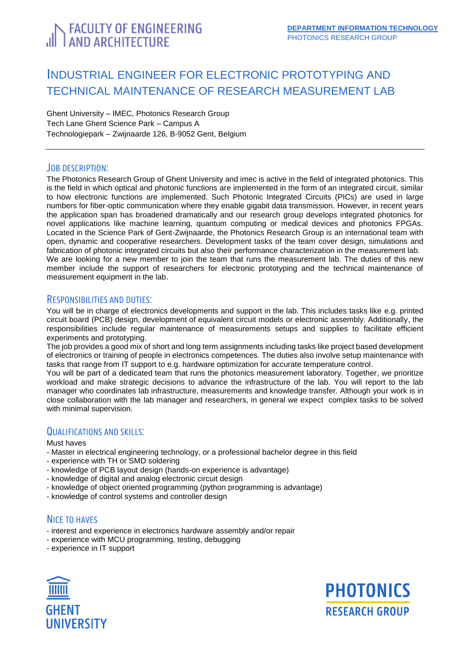# <span id="page-0-0"></span>**FACULTY OF ENGINEERING**<br>LAND ARCHITECTURE

# INDUSTRIAL ENGINEER FOR ELECTRONIC PROTOTYPING AND TECHNICAL MAINTENANCE OF RESEARCH MEASUREMENT LAB

Ghent University – IMEC, Photonics Research Group Tech Lane Ghent Science Park – Campus A Technologiepark – Zwijnaarde 126, B-9052 Gent, Belgium

# JOB DESCRIPTION:

The Photonics Research Group of Ghent University and imec is active in the field of integrated photonics. This is the field in which optical and photonic functions are implemented in the form of an integrated circuit, similar to how electronic functions are implemented. Such Photonic Integrated Circuits (PICs) are used in large numbers for fiber-optic communication where they enable gigabit data transmission. However, in recent years the application span has broadened dramatically and our research group develops integrated photonics for novel applications like machine learning, quantum computing or medical devices and photonics FPGAs. Located in the Science Park of Gent-Zwijnaarde, the Photonics Research Group is an international team with open, dynamic and cooperative researchers. Development tasks of the team cover design, simulations and fabrication of photonic integrated circuits but also their performance characterization in the measurement lab. We are looking for a new member to join the team that runs the measurement lab. The duties of this new member include the support of researchers for electronic prototyping and the technical maintenance of measurement equipment in the lab.

### RESPONSIBILITIES AND DUTIES:

You will be in charge of electronics developments and support in the lab. This includes tasks like e.g. printed circuit board (PCB) design, development of equivalent circuit models or electronic assembly. Additionally, the responsibilities include regular maintenance of measurements setups and supplies to facilitate efficient experiments and prototyping.

The job provides a good mix of short and long term assignments including tasks like project based development of electronics or training of people in electronics competences. The duties also involve setup maintenance with tasks that range from IT support to e.g. hardware optimization for accurate temperature control.

You will be part of a dedicated team that runs the photonics measurement laboratory. Together, we prioritize workload and make strategic decisions to advance the infrastructure of the lab. You will report to the lab manager who coordinates lab infrastructure, measurements and knowledge transfer. Although your work is in close collaboration with the lab manager and researchers, in general we expect complex tasks to be solved with minimal supervision.

# QUALIFICATIONS AND SKILLS:

#### Must haves

- Master in electrical engineering technology, or a professional bachelor degree in this field
- experience with TH or SMD soldering
- knowledge of PCB layout design (hands-on experience is advantage)
- knowledge of digital and analog electronic circuit design
- knowledge of object oriented programming (python programming is advantage)
- knowledge of control systems and controller design

# NICE TO HAVES

- interest and experience in electronics hardware assembly and/or repair
- experience with MCU programming, testing, debugging
- experience in IT support